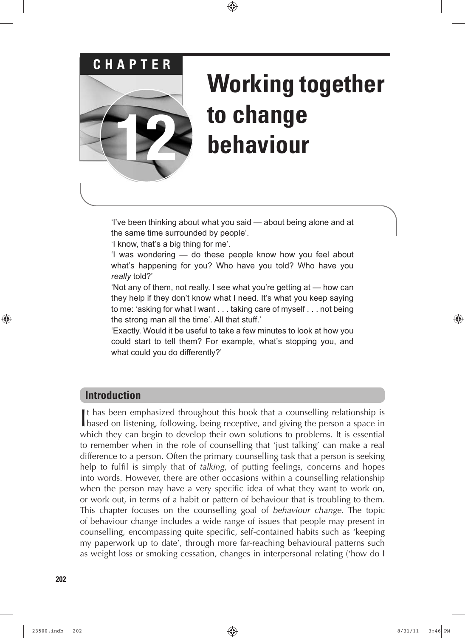

# **Working together to change behaviour**

'I've been thinking about what you said – about being alone and at the same time surrounded by people'.

'I know, that's a big thing for me'.

'I was wondering – do these people know how you feel about what's happening for you? Who have you told? Who have you *really* told?'

'Not any of them, not really. I see what you're getting at  $-$  how can they help if they don't know what I need. It's what you keep saying to me: 'asking for what I want . . . taking care of myself . . . not being the strong man all the time'. All that stuff.'

'Exactly. Would it be useful to take a few minutes to look at how you could start to tell them? For example, what's stopping you, and what could you do differently?'

#### **Introduction**

It has been emphasized throughout this book that a counselling relationship is based on listening, following, being receptive, and giving the person a space in t has been emphasized throughout this book that a counselling relationship is which they can begin to develop their own solutions to problems. It is essential to remember when in the role of counselling that 'just talking' can make a real difference to a person. Often the primary counselling task that a person is seeking help to fulfil is simply that of *talking*, of putting feelings, concerns and hopes into words. However, there are other occasions within a counselling relationship when the person may have a very specific idea of what they want to work on, or work out, in terms of a habit or pattern of behaviour that is troubling to them. This chapter focuses on the counselling goal of *behaviour change.* The topic of behaviour change includes a wide range of issues that people may present in counselling, encompassing quite specific, self-contained habits such as 'keeping my paperwork up to date', through more far-reaching behavioural patterns such as weight loss or smoking cessation, changes in interpersonal relating ('how do I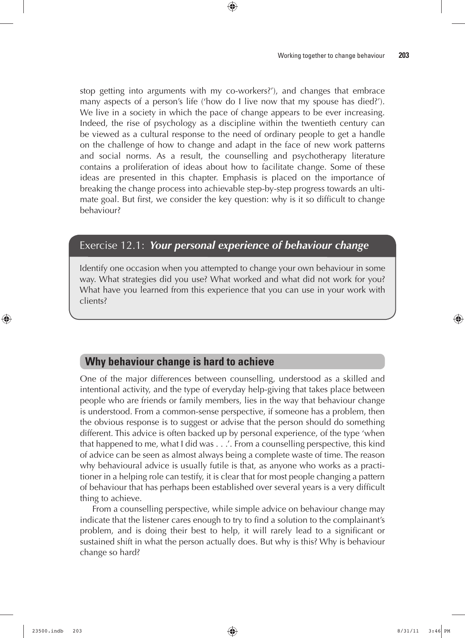stop getting into arguments with my co-workers?'), and changes that embrace many aspects of a person's life ('how do I live now that my spouse has died?'). We live in a society in which the pace of change appears to be ever increasing. Indeed, the rise of psychology as a discipline within the twentieth century can be viewed as a cultural response to the need of ordinary people to get a handle on the challenge of how to change and adapt in the face of new work patterns and social norms. As a result, the counselling and psychotherapy literature contains a proliferation of ideas about how to facilitate change. Some of these ideas are presented in this chapter. Emphasis is placed on the importance of breaking the change process into achievable step-by-step progress towards an ultimate goal. But first, we consider the key question: why is it so difficult to change behaviour?

#### Exercise 12.1: *Your personal experience of behaviour change*

Identify one occasion when you attempted to change your own behaviour in some way. What strategies did you use? What worked and what did not work for you? What have you learned from this experience that you can use in your work with clients?

# **Why behaviour change is hard to achieve**

One of the major differences between counselling, understood as a skilled and intentional activity, and the type of everyday help-giving that takes place between people who are friends or family members, lies in the way that behaviour change is understood. From a common-sense perspective, if someone has a problem, then the obvious response is to suggest or advise that the person should do something different. This advice is often backed up by personal experience, of the type 'when that happened to me, what I did was . . .'. From a counselling perspective, this kind of advice can be seen as almost always being a complete waste of time. The reason why behavioural advice is usually futile is that, as anyone who works as a practitioner in a helping role can testify, it is clear that for most people changing a pattern of behaviour that has perhaps been established over several years is a very difficult thing to achieve.

From a counselling perspective, while simple advice on behaviour change may indicate that the listener cares enough to try to find a solution to the complainant's problem, and is doing their best to help, it will rarely lead to a significant or sustained shift in what the person actually does. But why is this? Why is behaviour change so hard?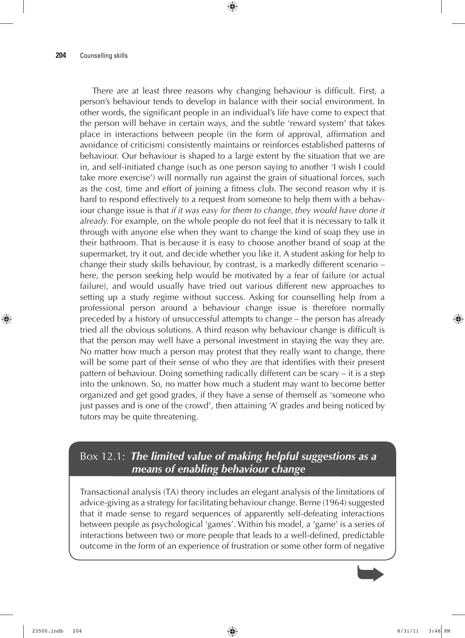There are at least three reasons why changing behaviour is difficult. First, a person's behaviour tends to develop in balance with their social environment. In other words, the significant people in an individual's life have come to expect that the person will behave in certain ways, and the subtle 'reward system' that takes place in interactions between people (in the form of approval, affirmation and avoidance of criticism) consistently maintains or reinforces established patterns of behaviour. Our behaviour is shaped to a large extent by the situation that we are in, and self-initiated change (such as one person saying to another 'I wish I could take more exercise') will normally run against the grain of situational forces, such as the cost, time and effort of joining a fitness club. The second reason why it is hard to respond effectively to a request from someone to help them with a behaviour change issue is that *if it was easy for them to change, they would have done it already.* For example, on the whole people do not feel that it is necessary to talk it through with anyone else when they want to change the kind of soap they use in their bathroom. That is because it is easy to choose another brand of soap at the supermarket, try it out, and decide whether you like it. A student asking for help to change their study skills behaviour, by contrast, is a markedly different scenario – here, the person seeking help would be motivated by a fear of failure (or actual failure), and would usually have tried out various different new approaches to setting up a study regime without success. Asking for counselling help from a professional person around a behaviour change issue is therefore normally preceded by a history of unsuccessful attempts to change – the person has already tried all the obvious solutions. A third reason why behaviour change is difficult is that the person may well have a personal investment in staying the way they are. No matter how much a person may protest that they really want to change, there will be some part of their sense of who they are that identifies with their present pattern of behaviour. Doing something radically different can be scary – it is a step into the unknown. So, no matter how much a student may want to become better organized and get good grades, if they have a sense of themself as 'someone who just passes and is one of the crowd', then attaining 'A' grades and being noticed by tutors may be quite threatening.

# Box 12.1: *The limited value of making helpful suggestions as a means of enabling behaviour change*

Transactional analysis (TA) theory includes an elegant analysis of the limitations of advice-giving as a strategy for facilitating behaviour change. Berne (1964) suggested that it made sense to regard sequences of apparently self-defeating interactions between people as psychological 'games'. Within his model, a 'game' is a series of interactions between two or more people that leads to a well-defined, predictable outcome in the form of an experience of frustration or some other form of negative

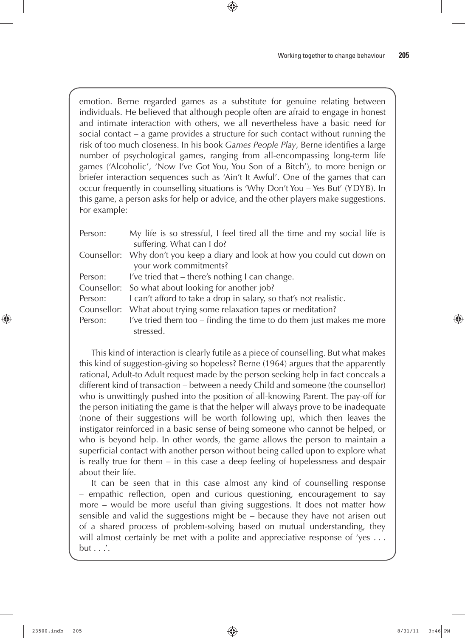emotion. Berne regarded games as a substitute for genuine relating between individuals. He believed that although people often are afraid to engage in honest and intimate interaction with others, we all nevertheless have a basic need for social contact – a game provides a structure for such contact without running the risk of too much closeness. In his book *Games People Play*, Berne identifies a large number of psychological games, ranging from all-encompassing long-term life games ('Alcoholic', 'Now I've Got You, You Son of a Bitch'), to more benign or briefer interaction sequences such as 'Ain't It Awful'. One of the games that can occur frequently in counselling situations is 'Why Don't You – Yes But' (YDYB). In this game, a person asks for help or advice, and the other players make suggestions. For example:

| Person: | My life is so stressful, I feel tired all the time and my social life is     |
|---------|------------------------------------------------------------------------------|
|         | suffering. What can I do?                                                    |
|         | Counsellor: Why don't you keep a diary and look at how you could cut down on |
|         | your work commitments?                                                       |
| Person: | I've tried that – there's nothing I can change.                              |
|         | Counsellor: So what about looking for another job?                           |
| Person: | I can't afford to take a drop in salary, so that's not realistic.            |
|         | Counsellor: What about trying some relaxation tapes or meditation?           |
| Person: | I've tried them too – finding the time to do them just makes me more         |
|         | stressed.                                                                    |

This kind of interaction is clearly futile as a piece of counselling. But what makes this kind of suggestion-giving so hopeless? Berne (1964) argues that the apparently rational, Adult-to Adult request made by the person seeking help in fact conceals a different kind of transaction – between a needy Child and someone (the counsellor) who is unwittingly pushed into the position of all-knowing Parent. The pay-off for the person initiating the game is that the helper will always prove to be inadequate (none of their suggestions will be worth following up), which then leaves the instigator reinforced in a basic sense of being someone who cannot be helped, or who is beyond help. In other words, the game allows the person to maintain a superficial contact with another person without being called upon to explore what is really true for them – in this case a deep feeling of hopelessness and despair about their life.

It can be seen that in this case almost any kind of counselling response  $-$  empathic reflection, open and curious questioning, encouragement to say more – would be more useful than giving suggestions. It does not matter how sensible and valid the suggestions might be – because they have not arisen out of a shared process of problem-solving based on mutual understanding, they will almost certainly be met with a polite and appreciative response of 'yes ... but  $\ldots$  .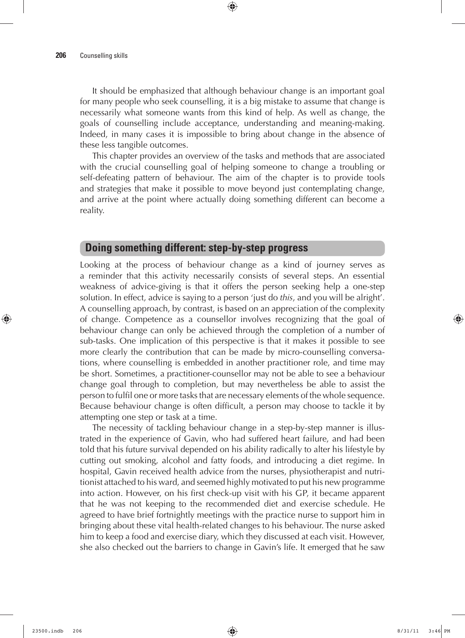It should be emphasized that although behaviour change is an important goal for many people who seek counselling, it is a big mistake to assume that change is necessarily what someone wants from this kind of help. As well as change, the goals of counselling include acceptance, understanding and meaning-making. Indeed, in many cases it is impossible to bring about change in the absence of these less tangible outcomes.

This chapter provides an overview of the tasks and methods that are associated with the crucial counselling goal of helping someone to change a troubling or self-defeating pattern of behaviour. The aim of the chapter is to provide tools and strategies that make it possible to move beyond just contemplating change, and arrive at the point where actually doing something different can become a reality.

#### **Doing something different: step-by-step progress**

Looking at the process of behaviour change as a kind of journey serves as a reminder that this activity necessarily consists of several steps. An essential weakness of advice-giving is that it offers the person seeking help a one-step solution. In effect, advice is saying to a person 'just do *this*, and you will be alright'. A counselling approach, by contrast, is based on an appreciation of the complexity of change. Competence as a counsellor involves recognizing that the goal of behaviour change can only be achieved through the completion of a number of sub-tasks. One implication of this perspective is that it makes it possible to see more clearly the contribution that can be made by micro-counselling conversations, where counselling is embedded in another practitioner role, and time may be short. Sometimes, a practitioner-counsellor may not be able to see a behaviour change goal through to completion, but may nevertheless be able to assist the person to fulfi l one or more tasks that are necessary elements of the whole sequence. Because behaviour change is often difficult, a person may choose to tackle it by attempting one step or task at a time.

The necessity of tackling behaviour change in a step-by-step manner is illustrated in the experience of Gavin, who had suffered heart failure, and had been told that his future survival depended on his ability radically to alter his lifestyle by cutting out smoking, alcohol and fatty foods, and introducing a diet regime. In hospital, Gavin received health advice from the nurses, physiotherapist and nutritionist attached to his ward, and seemed highly motivated to put his new programme into action. However, on his first check-up visit with his GP, it became apparent that he was not keeping to the recommended diet and exercise schedule. He agreed to have brief fortnightly meetings with the practice nurse to support him in bringing about these vital health-related changes to his behaviour. The nurse asked him to keep a food and exercise diary, which they discussed at each visit. However, she also checked out the barriers to change in Gavin's life. It emerged that he saw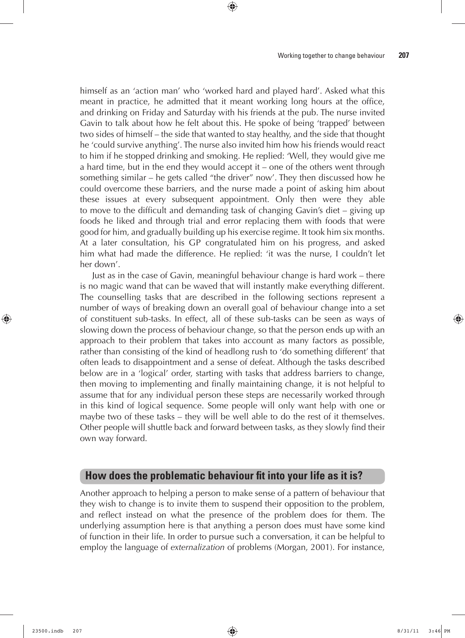himself as an 'action man' who 'worked hard and played hard'. Asked what this meant in practice, he admitted that it meant working long hours at the office, and drinking on Friday and Saturday with his friends at the pub. The nurse invited Gavin to talk about how he felt about this. He spoke of being 'trapped' between two sides of himself – the side that wanted to stay healthy, and the side that thought he 'could survive anything'. The nurse also invited him how his friends would react to him if he stopped drinking and smoking. He replied: 'Well, they would give me a hard time, but in the end they would accept it – one of the others went through something similar – he gets called "the driver" now'. They then discussed how he could overcome these barriers, and the nurse made a point of asking him about these issues at every subsequent appointment. Only then were they able to move to the difficult and demanding task of changing Gavin's diet – giving up foods he liked and through trial and error replacing them with foods that were good for him, and gradually building up his exercise regime. It took him six months. At a later consultation, his GP congratulated him on his progress, and asked him what had made the difference. He replied: 'it was the nurse, I couldn't let her down'.

Just as in the case of Gavin, meaningful behaviour change is hard work – there is no magic wand that can be waved that will instantly make everything different. The counselling tasks that are described in the following sections represent a number of ways of breaking down an overall goal of behaviour change into a set of constituent sub-tasks. In effect, all of these sub-tasks can be seen as ways of slowing down the process of behaviour change, so that the person ends up with an approach to their problem that takes into account as many factors as possible, rather than consisting of the kind of headlong rush to 'do something different' that often leads to disappointment and a sense of defeat. Although the tasks described below are in a 'logical' order, starting with tasks that address barriers to change, then moving to implementing and finally maintaining change, it is not helpful to assume that for any individual person these steps are necessarily worked through in this kind of logical sequence. Some people will only want help with one or maybe two of these tasks – they will be well able to do the rest of it themselves. Other people will shuttle back and forward between tasks, as they slowly find their own way forward.

#### How does the problematic behaviour fit into your life as it is?

Another approach to helping a person to make sense of a pattern of behaviour that they wish to change is to invite them to suspend their opposition to the problem, and reflect instead on what the presence of the problem does for them. The underlying assumption here is that anything a person does must have some kind of function in their life. In order to pursue such a conversation, it can be helpful to employ the language of *externalization* of problems (Morgan, 2001). For instance,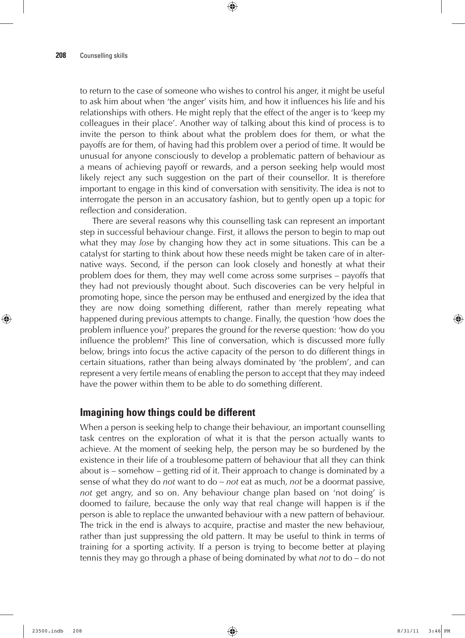to return to the case of someone who wishes to control his anger, it might be useful to ask him about when 'the anger' visits him, and how it influences his life and his relationships with others. He might reply that the effect of the anger is to 'keep my colleagues in their place'. Another way of talking about this kind of process is to invite the person to think about what the problem does for them, or what the payoffs are for them, of having had this problem over a period of time. It would be unusual for anyone consciously to develop a problematic pattern of behaviour as a means of achieving payoff or rewards, and a person seeking help would most likely reject any such suggestion on the part of their counsellor. It is therefore important to engage in this kind of conversation with sensitivity. The idea is not to interrogate the person in an accusatory fashion, but to gently open up a topic for reflection and consideration.

There are several reasons why this counselling task can represent an important step in successful behaviour change. First, it allows the person to begin to map out what they may *lose* by changing how they act in some situations. This can be a catalyst for starting to think about how these needs might be taken care of in alternative ways. Second, if the person can look closely and honestly at what their problem does for them, they may well come across some surprises – payoffs that they had not previously thought about. Such discoveries can be very helpful in promoting hope, since the person may be enthused and energized by the idea that they are now doing something different, rather than merely repeating what happened during previous attempts to change. Finally, the question 'how does the problem infl uence you?' prepares the ground for the reverse question: 'how do you influence the problem?' This line of conversation, which is discussed more fully below, brings into focus the active capacity of the person to do different things in certain situations, rather than being always dominated by 'the problem', and can represent a very fertile means of enabling the person to accept that they may indeed have the power within them to be able to do something different.

## **Imagining how things could be different**

When a person is seeking help to change their behaviour, an important counselling task centres on the exploration of what it is that the person actually wants to achieve. At the moment of seeking help, the person may be so burdened by the existence in their life of a troublesome pattern of behaviour that all they can think about is – somehow – getting rid of it. Their approach to change is dominated by a sense of what they do *not* want to do *– not* eat as much*, not* be a doormat passive*, not* get angry, and so on. Any behaviour change plan based on 'not doing' is doomed to failure, because the only way that real change will happen is if the person is able to replace the unwanted behaviour with a new pattern of behaviour. The trick in the end is always to acquire, practise and master the new behaviour, rather than just suppressing the old pattern. It may be useful to think in terms of training for a sporting activity. If a person is trying to become better at playing tennis they may go through a phase of being dominated by what *not* to do – do not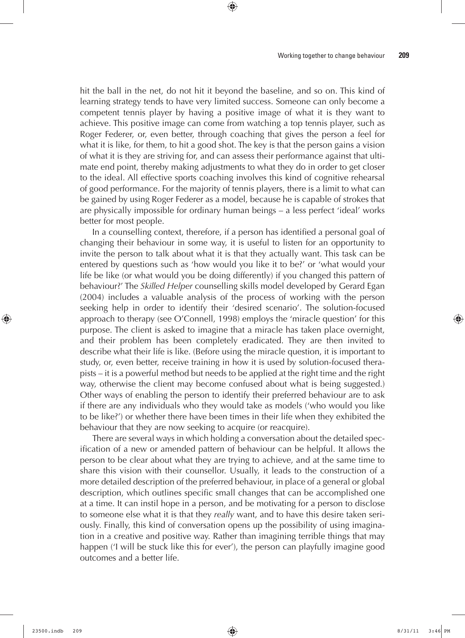hit the ball in the net, do not hit it beyond the baseline, and so on. This kind of learning strategy tends to have very limited success. Someone can only become a competent tennis player by having a positive image of what it is they want to achieve. This positive image can come from watching a top tennis player, such as Roger Federer, or, even better, through coaching that gives the person a feel for what it is like, for them, to hit a good shot. The key is that the person gains a vision of what it is they are striving for, and can assess their performance against that ultimate end point, thereby making adjustments to what they do in order to get closer to the ideal. All effective sports coaching involves this kind of cognitive rehearsal of good performance. For the majority of tennis players, there is a limit to what can be gained by using Roger Federer as a model, because he is capable of strokes that are physically impossible for ordinary human beings – a less perfect 'ideal' works better for most people.

In a counselling context, therefore, if a person has identified a personal goal of changing their behaviour in some way, it is useful to listen for an opportunity to invite the person to talk about what it is that they actually want. This task can be entered by questions such as 'how would you like it to be?' or 'what would your life be like (or what would you be doing differently) if you changed this pattern of behaviour?' The *Skilled Helper* counselling skills model developed by Gerard Egan (2004) includes a valuable analysis of the process of working with the person seeking help in order to identify their 'desired scenario'. The solution-focused approach to therapy (see O'Connell, 1998) employs the 'miracle question' for this purpose. The client is asked to imagine that a miracle has taken place overnight, and their problem has been completely eradicated. They are then invited to describe what their life is like. (Before using the miracle question, it is important to study, or, even better, receive training in how it is used by solution-focused therapists – it is a powerful method but needs to be applied at the right time and the right way, otherwise the client may become confused about what is being suggested.) Other ways of enabling the person to identify their preferred behaviour are to ask if there are any individuals who they would take as models ('who would you like to be like?') or whether there have been times in their life when they exhibited the behaviour that they are now seeking to acquire (or reacquire).

There are several ways in which holding a conversation about the detailed specification of a new or amended pattern of behaviour can be helpful. It allows the person to be clear about what they are trying to achieve, and at the same time to share this vision with their counsellor. Usually, it leads to the construction of a more detailed description of the preferred behaviour, in place of a general or global description, which outlines specific small changes that can be accomplished one at a time. It can instil hope in a person, and be motivating for a person to disclose to someone else what it is that they *really* want, and to have this desire taken seriously. Finally, this kind of conversation opens up the possibility of using imagination in a creative and positive way. Rather than imagining terrible things that may happen ('I will be stuck like this for ever'), the person can playfully imagine good outcomes and a better life.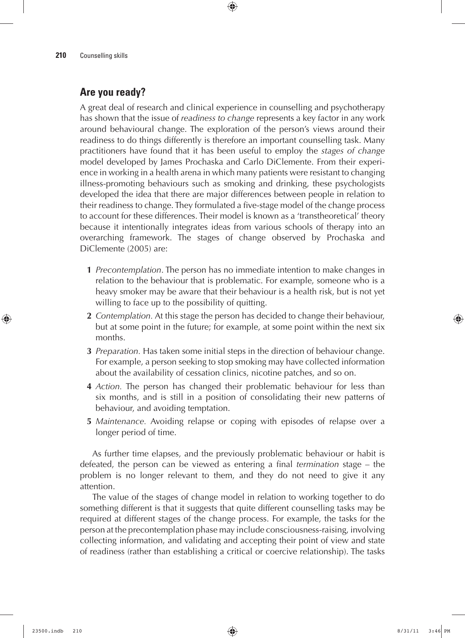# **Are you ready?**

A great deal of research and clinical experience in counselling and psychotherapy has shown that the issue of *readiness to change* represents a key factor in any work around behavioural change. The exploration of the person's views around their readiness to do things differently is therefore an important counselling task. Many practitioners have found that it has been useful to employ the *stages of change* model developed by James Prochaska and Carlo DiClemente. From their experience in working in a health arena in which many patients were resistant to changing illness-promoting behaviours such as smoking and drinking, these psychologists developed the idea that there are major differences between people in relation to their readiness to change. They formulated a five-stage model of the change process to account for these differences. Their model is known as a 'transtheoretical' theory because it intentionally integrates ideas from various schools of therapy into an overarching framework. The stages of change observed by Prochaska and DiClemente (2005) are:

- **1** *Precontemplation*. The person has no immediate intention to make changes in relation to the behaviour that is problematic. For example, someone who is a heavy smoker may be aware that their behaviour is a health risk, but is not yet willing to face up to the possibility of quitting.
- **2** *Contemplation.* At this stage the person has decided to change their behaviour, but at some point in the future; for example, at some point within the next six months.
- **3** *Preparation.* Has taken some initial steps in the direction of behaviour change. For example, a person seeking to stop smoking may have collected information about the availability of cessation clinics, nicotine patches, and so on.
- **4** *Action.* The person has changed their problematic behaviour for less than six months, and is still in a position of consolidating their new patterns of behaviour, and avoiding temptation.
- **5** *Maintenance.* Avoiding relapse or coping with episodes of relapse over a longer period of time.

As further time elapses, and the previously problematic behaviour or habit is defeated, the person can be viewed as entering a final *termination* stage – the problem is no longer relevant to them, and they do not need to give it any attention.

The value of the stages of change model in relation to working together to do something different is that it suggests that quite different counselling tasks may be required at different stages of the change process. For example, the tasks for the person at the precontemplation phase may include consciousness-raising, involving collecting information, and validating and accepting their point of view and state of readiness (rather than establishing a critical or coercive relationship). The tasks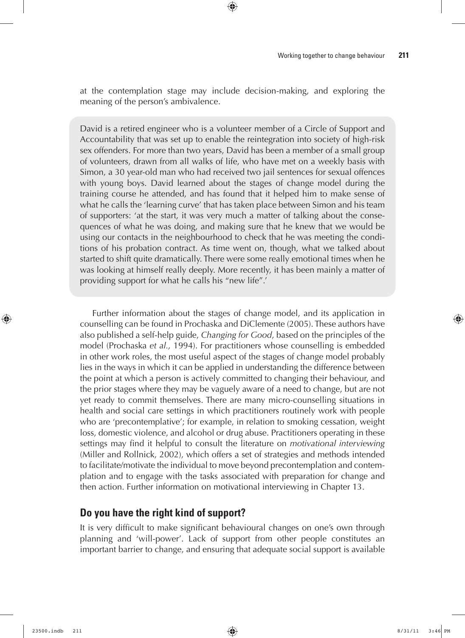at the contemplation stage may include decision-making, and exploring the meaning of the person's ambivalence.

David is a retired engineer who is a volunteer member of a Circle of Support and Accountability that was set up to enable the reintegration into society of high-risk sex offenders. For more than two years, David has been a member of a small group of volunteers, drawn from all walks of life, who have met on a weekly basis with Simon, a 30 year-old man who had received two jail sentences for sexual offences with young boys. David learned about the stages of change model during the training course he attended, and has found that it helped him to make sense of what he calls the 'learning curve' that has taken place between Simon and his team of supporters: 'at the start, it was very much a matter of talking about the consequences of what he was doing, and making sure that he knew that we would be using our contacts in the neighbourhood to check that he was meeting the conditions of his probation contract. As time went on, though, what we talked about started to shift quite dramatically. There were some really emotional times when he was looking at himself really deeply. More recently, it has been mainly a matter of providing support for what he calls his "new life".'

Further information about the stages of change model, and its application in counselling can be found in Prochaska and DiClemente (2005). These authors have also published a self-help guide, *Changing for Good*, based on the principles of the model (Prochaska *et al.,* 1994). For practitioners whose counselling is embedded in other work roles, the most useful aspect of the stages of change model probably lies in the ways in which it can be applied in understanding the difference between the point at which a person is actively committed to changing their behaviour, and the prior stages where they may be vaguely aware of a need to change, but are not yet ready to commit themselves. There are many micro-counselling situations in health and social care settings in which practitioners routinely work with people who are 'precontemplative'; for example, in relation to smoking cessation, weight loss, domestic violence, and alcohol or drug abuse. Practitioners operating in these settings may find it helpful to consult the literature on *motivational interviewing* (Miller and Rollnick, 2002), which offers a set of strategies and methods intended to facilitate/motivate the individual to move beyond precontemplation and contemplation and to engage with the tasks associated with preparation for change and then action. Further information on motivational interviewing in Chapter 13.

## **Do you have the right kind of support?**

It is very difficult to make significant behavioural changes on one's own through planning and 'will-power'. Lack of support from other people constitutes an important barrier to change, and ensuring that adequate social support is available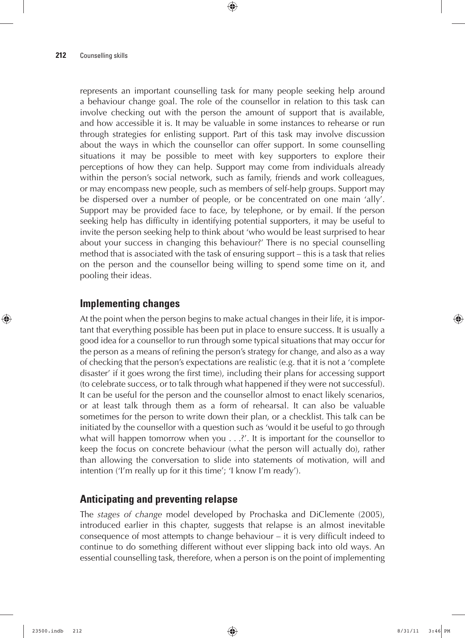represents an important counselling task for many people seeking help around a behaviour change goal. The role of the counsellor in relation to this task can involve checking out with the person the amount of support that is available, and how accessible it is. It may be valuable in some instances to rehearse or run through strategies for enlisting support. Part of this task may involve discussion about the ways in which the counsellor can offer support. In some counselling situations it may be possible to meet with key supporters to explore their perceptions of how they can help. Support may come from individuals already within the person's social network, such as family, friends and work colleagues, or may encompass new people, such as members of self-help groups. Support may be dispersed over a number of people, or be concentrated on one main 'ally'. Support may be provided face to face, by telephone, or by email. If the person seeking help has difficulty in identifying potential supporters, it may be useful to invite the person seeking help to think about 'who would be least surprised to hear about your success in changing this behaviour?' There is no special counselling method that is associated with the task of ensuring support – this is a task that relies on the person and the counsellor being willing to spend some time on it, and pooling their ideas.

# **Implementing changes**

At the point when the person begins to make actual changes in their life, it is important that everything possible has been put in place to ensure success. It is usually a good idea for a counsellor to run through some typical situations that may occur for the person as a means of refining the person's strategy for change, and also as a way of checking that the person's expectations are realistic (e.g. that it is not a 'complete disaster' if it goes wrong the first time), including their plans for accessing support (to celebrate success, or to talk through what happened if they were not successful). It can be useful for the person and the counsellor almost to enact likely scenarios, or at least talk through them as a form of rehearsal. It can also be valuable sometimes for the person to write down their plan, or a checklist. This talk can be initiated by the counsellor with a question such as 'would it be useful to go through what will happen tomorrow when you  $\dots$ ?'. It is important for the counsellor to keep the focus on concrete behaviour (what the person will actually do), rather than allowing the conversation to slide into statements of motivation, will and intention ('I'm really up for it this time'; 'I know I'm ready').

# **Anticipating and preventing relapse**

The *stages of change* model developed by Prochaska and DiClemente (2005), introduced earlier in this chapter, suggests that relapse is an almost inevitable consequence of most attempts to change behaviour  $-$  it is very difficult indeed to continue to do something different without ever slipping back into old ways. An essential counselling task, therefore, when a person is on the point of implementing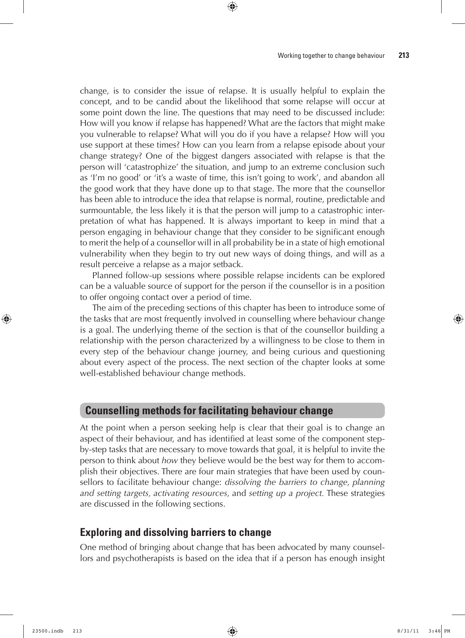change, is to consider the issue of relapse. It is usually helpful to explain the concept, and to be candid about the likelihood that some relapse will occur at some point down the line. The questions that may need to be discussed include: How will you know if relapse has happened? What are the factors that might make you vulnerable to relapse? What will you do if you have a relapse? How will you use support at these times? How can you learn from a relapse episode about your change strategy? One of the biggest dangers associated with relapse is that the person will 'catastrophize' the situation, and jump to an extreme conclusion such as 'I'm no good' or 'it's a waste of time, this isn't going to work', and abandon all the good work that they have done up to that stage. The more that the counsellor has been able to introduce the idea that relapse is normal, routine, predictable and surmountable, the less likely it is that the person will jump to a catastrophic interpretation of what has happened. It is always important to keep in mind that a person engaging in behaviour change that they consider to be significant enough to merit the help of a counsellor will in all probability be in a state of high emotional vulnerability when they begin to try out new ways of doing things, and will as a result perceive a relapse as a major setback.

Planned follow-up sessions where possible relapse incidents can be explored can be a valuable source of support for the person if the counsellor is in a position to offer ongoing contact over a period of time.

The aim of the preceding sections of this chapter has been to introduce some of the tasks that are most frequently involved in counselling where behaviour change is a goal. The underlying theme of the section is that of the counsellor building a relationship with the person characterized by a willingness to be close to them in every step of the behaviour change journey, and being curious and questioning about every aspect of the process. The next section of the chapter looks at some well-established behaviour change methods.

## **Counselling methods for facilitating behaviour change**

At the point when a person seeking help is clear that their goal is to change an aspect of their behaviour, and has identified at least some of the component stepby-step tasks that are necessary to move towards that goal, it is helpful to invite the person to think about *how* they believe would be the best way for them to accomplish their objectives. There are four main strategies that have been used by counsellors to facilitate behaviour change: *dissolving the barriers to change, planning and setting targets, activating resources,* and *setting up a project.* These strategies are discussed in the following sections.

## **Exploring and dissolving barriers to change**

One method of bringing about change that has been advocated by many counsellors and psychotherapists is based on the idea that if a person has enough insight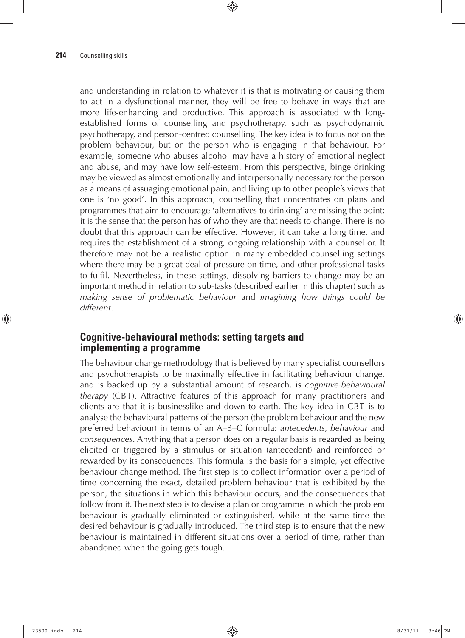and understanding in relation to whatever it is that is motivating or causing them to act in a dysfunctional manner, they will be free to behave in ways that are more life-enhancing and productive. This approach is associated with longestablished forms of counselling and psychotherapy, such as psychodynamic psychotherapy, and person-centred counselling. The key idea is to focus not on the problem behaviour, but on the person who is engaging in that behaviour. For example, someone who abuses alcohol may have a history of emotional neglect and abuse, and may have low self-esteem. From this perspective, binge drinking may be viewed as almost emotionally and interpersonally necessary for the person as a means of assuaging emotional pain, and living up to other people's views that one is 'no good'. In this approach, counselling that concentrates on plans and programmes that aim to encourage 'alternatives to drinking' are missing the point: it is the sense that the person has of who they are that needs to change. There is no doubt that this approach can be effective. However, it can take a long time, and requires the establishment of a strong, ongoing relationship with a counsellor. It therefore may not be a realistic option in many embedded counselling settings where there may be a great deal of pressure on time, and other professional tasks to fulfil. Nevertheless, in these settings, dissolving barriers to change may be an important method in relation to sub-tasks (described earlier in this chapter) such as *making sense of problematic behaviour* and *imagining how things could be different*.

#### **Cognitive-behavioural methods: setting targets and implementing a programme**

The behaviour change methodology that is believed by many specialist counsellors and psychotherapists to be maximally effective in facilitating behaviour change, and is backed up by a substantial amount of research, is *cognitive-behavioural therapy* (CBT). Attractive features of this approach for many practitioners and clients are that it is businesslike and down to earth. The key idea in CBT is to analyse the behavioural patterns of the person (the problem behaviour and the new preferred behaviour) in terms of an A–B–C formula: *antecedents, behaviour* and *consequences*. Anything that a person does on a regular basis is regarded as being elicited or triggered by a stimulus or situation (antecedent) and reinforced or rewarded by its consequences. This formula is the basis for a simple, yet effective behaviour change method. The first step is to collect information over a period of time concerning the exact, detailed problem behaviour that is exhibited by the person, the situations in which this behaviour occurs, and the consequences that follow from it. The next step is to devise a plan or programme in which the problem behaviour is gradually eliminated or extinguished, while at the same time the desired behaviour is gradually introduced. The third step is to ensure that the new behaviour is maintained in different situations over a period of time, rather than abandoned when the going gets tough.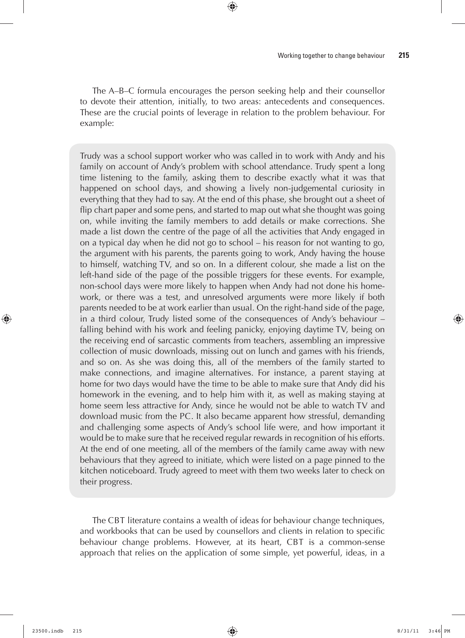The A–B–C formula encourages the person seeking help and their counsellor to devote their attention, initially, to two areas: antecedents and consequences. These are the crucial points of leverage in relation to the problem behaviour. For example:

Trudy was a school support worker who was called in to work with Andy and his family on account of Andy's problem with school attendance. Trudy spent a long time listening to the family, asking them to describe exactly what it was that happened on school days, and showing a lively non-judgemental curiosity in everything that they had to say. At the end of this phase, she brought out a sheet of flip chart paper and some pens, and started to map out what she thought was going on, while inviting the family members to add details or make corrections. She made a list down the centre of the page of all the activities that Andy engaged in on a typical day when he did not go to school – his reason for not wanting to go, the argument with his parents, the parents going to work, Andy having the house to himself, watching TV, and so on. In a different colour, she made a list on the left-hand side of the page of the possible triggers for these events. For example, non-school days were more likely to happen when Andy had not done his homework, or there was a test, and unresolved arguments were more likely if both parents needed to be at work earlier than usual. On the right-hand side of the page, in a third colour, Trudy listed some of the consequences of Andy's behaviour – falling behind with his work and feeling panicky, enjoying daytime TV, being on the receiving end of sarcastic comments from teachers, assembling an impressive collection of music downloads, missing out on lunch and games with his friends, and so on. As she was doing this, all of the members of the family started to make connections, and imagine alternatives. For instance, a parent staying at home for two days would have the time to be able to make sure that Andy did his homework in the evening, and to help him with it, as well as making staying at home seem less attractive for Andy, since he would not be able to watch TV and download music from the PC. It also became apparent how stressful, demanding and challenging some aspects of Andy's school life were, and how important it would be to make sure that he received regular rewards in recognition of his efforts. At the end of one meeting, all of the members of the family came away with new behaviours that they agreed to initiate, which were listed on a page pinned to the kitchen noticeboard. Trudy agreed to meet with them two weeks later to check on their progress.

The CBT literature contains a wealth of ideas for behaviour change techniques, and workbooks that can be used by counsellors and clients in relation to specific behaviour change problems. However, at its heart, CBT is a common-sense approach that relies on the application of some simple, yet powerful, ideas, in a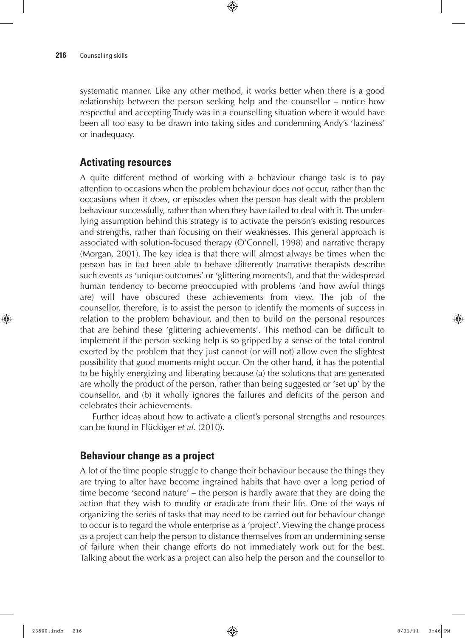systematic manner. Like any other method, it works better when there is a good relationship between the person seeking help and the counsellor – notice how respectful and accepting Trudy was in a counselling situation where it would have been all too easy to be drawn into taking sides and condemning Andy's 'laziness' or inadequacy.

## **Activating resources**

A quite different method of working with a behaviour change task is to pay attention to occasions when the problem behaviour does *not* occur, rather than the occasions when it *does*, or episodes when the person has dealt with the problem behaviour successfully, rather than when they have failed to deal with it. The underlying assumption behind this strategy is to activate the person's existing resources and strengths, rather than focusing on their weaknesses. This general approach is associated with solution-focused therapy (O'Connell, 1998) and narrative therapy (Morgan, 2001). The key idea is that there will almost always be times when the person has in fact been able to behave differently (narrative therapists describe such events as 'unique outcomes' or 'glittering moments'), and that the widespread human tendency to become preoccupied with problems (and how awful things are) will have obscured these achievements from view. The job of the counsellor, therefore, is to assist the person to identify the moments of success in relation to the problem behaviour, and then to build on the personal resources that are behind these 'glittering achievements'. This method can be difficult to implement if the person seeking help is so gripped by a sense of the total control exerted by the problem that they just cannot (or will not) allow even the slightest possibility that good moments might occur. On the other hand, it has the potential to be highly energizing and liberating because (a) the solutions that are generated are wholly the product of the person, rather than being suggested or 'set up' by the counsellor, and (b) it wholly ignores the failures and deficits of the person and celebrates their achievements.

Further ideas about how to activate a client's personal strengths and resources can be found in Flückiger *et al.* (2010).

# **Behaviour change as a project**

A lot of the time people struggle to change their behaviour because the things they are trying to alter have become ingrained habits that have over a long period of time become 'second nature' – the person is hardly aware that they are doing the action that they wish to modify or eradicate from their life. One of the ways of organizing the series of tasks that may need to be carried out for behaviour change to occur is to regard the whole enterprise as a 'project'. Viewing the change process as a project can help the person to distance themselves from an undermining sense of failure when their change efforts do not immediately work out for the best. Talking about the work as a project can also help the person and the counsellor to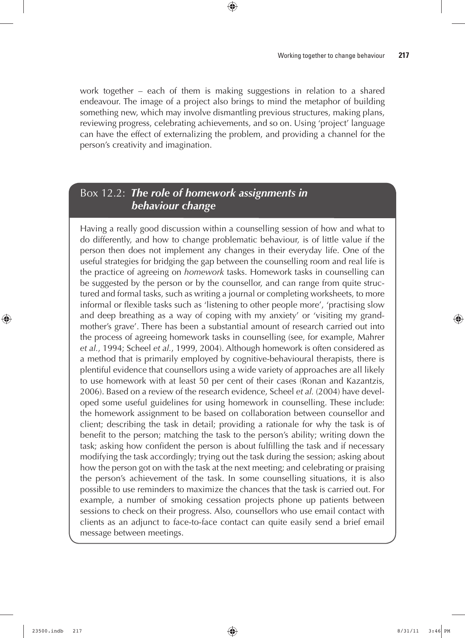work together – each of them is making suggestions in relation to a shared endeavour. The image of a project also brings to mind the metaphor of building something new, which may involve dismantling previous structures, making plans, reviewing progress, celebrating achievements, and so on. Using 'project' language can have the effect of externalizing the problem, and providing a channel for the person's creativity and imagination.

# Box 12.2: *The role of homework assignments in behaviour change*

Having a really good discussion within a counselling session of how and what to do differently, and how to change problematic behaviour, is of little value if the person then does not implement any changes in their everyday life. One of the useful strategies for bridging the gap between the counselling room and real life is the practice of agreeing on *homework* tasks. Homework tasks in counselling can be suggested by the person or by the counsellor, and can range from quite structured and formal tasks, such as writing a journal or completing worksheets, to more informal or flexible tasks such as 'listening to other people more', 'practising slow and deep breathing as a way of coping with my anxiety' or 'visiting my grandmother's grave'. There has been a substantial amount of research carried out into the process of agreeing homework tasks in counselling (see, for example, Mahrer *et al.*, 1994; Scheel *et al.*, 1999, 2004). Although homework is often considered as a method that is primarily employed by cognitive-behavioural therapists, there is plentiful evidence that counsellors using a wide variety of approaches are all likely to use homework with at least 50 per cent of their cases (Ronan and Kazantzis, 2006). Based on a review of the research evidence, Scheel *et al.* (2004) have developed some useful guidelines for using homework in counselling. These include: the homework assignment to be based on collaboration between counsellor and client; describing the task in detail; providing a rationale for why the task is of benefit to the person; matching the task to the person's ability; writing down the task; asking how confident the person is about fulfilling the task and if necessary modifying the task accordingly; trying out the task during the session; asking about how the person got on with the task at the next meeting; and celebrating or praising the person's achievement of the task. In some counselling situations, it is also possible to use reminders to maximize the chances that the task is carried out. For example, a number of smoking cessation projects phone up patients between sessions to check on their progress. Also, counsellors who use email contact with clients as an adjunct to face-to-face contact can quite easily send a brief email message between meetings.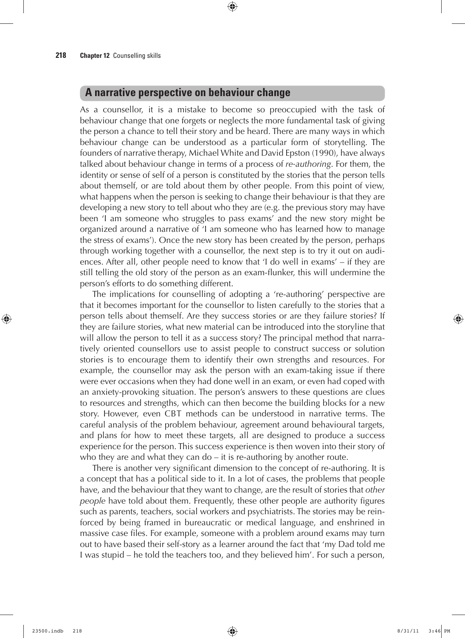#### **A narrative perspective on behaviour change**

As a counsellor, it is a mistake to become so preoccupied with the task of behaviour change that one forgets or neglects the more fundamental task of giving the person a chance to tell their story and be heard. There are many ways in which behaviour change can be understood as a particular form of storytelling. The founders of narrative therapy, Michael White and David Epston (1990), have always talked about behaviour change in terms of a process of *re-authoring*. For them, the identity or sense of self of a person is constituted by the stories that the person tells about themself, or are told about them by other people. From this point of view, what happens when the person is seeking to change their behaviour is that they are developing a new story to tell about who they are (e.g. the previous story may have been 'I am someone who struggles to pass exams' and the new story might be organized around a narrative of 'I am someone who has learned how to manage the stress of exams'). Once the new story has been created by the person, perhaps through working together with a counsellor, the next step is to try it out on audiences. After all, other people need to know that 'I do well in exams' – if they are still telling the old story of the person as an exam-flunker, this will undermine the person's efforts to do something different.

The implications for counselling of adopting a 're-authoring' perspective are that it becomes important for the counsellor to listen carefully to the stories that a person tells about themself. Are they success stories or are they failure stories? If they are failure stories, what new material can be introduced into the storyline that will allow the person to tell it as a success story? The principal method that narratively oriented counsellors use to assist people to construct success or solution stories is to encourage them to identify their own strengths and resources. For example, the counsellor may ask the person with an exam-taking issue if there were ever occasions when they had done well in an exam, or even had coped with an anxiety-provoking situation. The person's answers to these questions are clues to resources and strengths, which can then become the building blocks for a new story. However, even CBT methods can be understood in narrative terms. The careful analysis of the problem behaviour, agreement around behavioural targets, and plans for how to meet these targets, all are designed to produce a success experience for the person. This success experience is then woven into their story of who they are and what they can do – it is re-authoring by another route.

There is another very significant dimension to the concept of re-authoring. It is a concept that has a political side to it. In a lot of cases, the problems that people have, and the behaviour that they want to change, are the result of stories that *other people* have told about them. Frequently, these other people are authority figures such as parents, teachers, social workers and psychiatrists. The stories may be reinforced by being framed in bureaucratic or medical language, and enshrined in massive case files. For example, someone with a problem around exams may turn out to have based their self-story as a learner around the fact that 'my Dad told me I was stupid – he told the teachers too, and they believed him'. For such a person,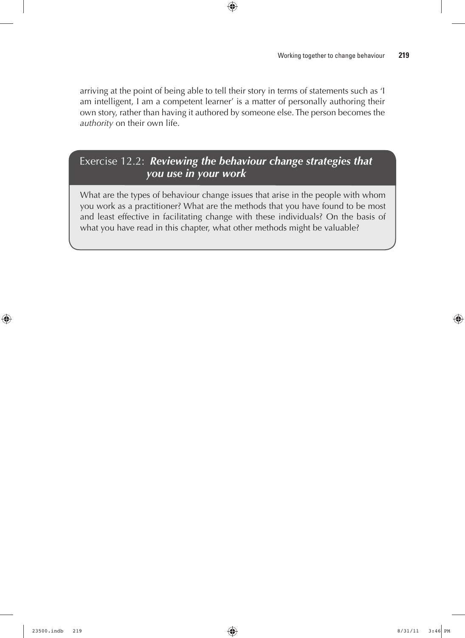arriving at the point of being able to tell their story in terms of statements such as 'I am intelligent, I am a competent learner' is a matter of personally authoring their own story, rather than having it authored by someone else. The person becomes the *authority* on their own life.

## Exercise 12.2: *Reviewing the behaviour change strategies that you use in your work*

What are the types of behaviour change issues that arise in the people with whom you work as a practitioner? What are the methods that you have found to be most and least effective in facilitating change with these individuals? On the basis of what you have read in this chapter, what other methods might be valuable?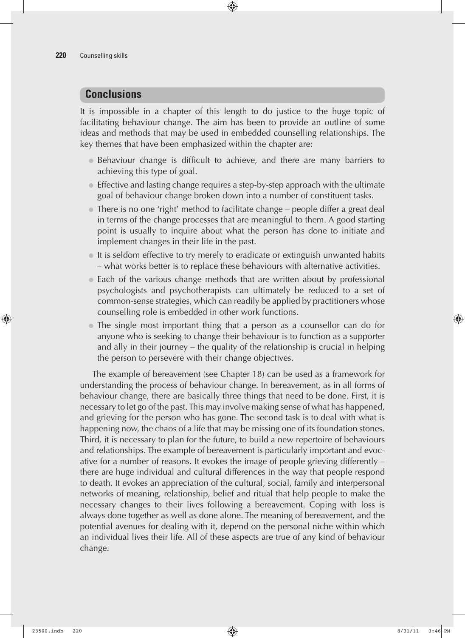## **Conclusions**

It is impossible in a chapter of this length to do justice to the huge topic of facilitating behaviour change. The aim has been to provide an outline of some ideas and methods that may be used in embedded counselling relationships. The key themes that have been emphasized within the chapter are:

- Behaviour change is difficult to achieve, and there are many barriers to achieving this type of goal.
- Effective and lasting change requires a step-by-step approach with the ultimate goal of behaviour change broken down into a number of constituent tasks.
- There is no one 'right' method to facilitate change people differ a great deal in terms of the change processes that are meaningful to them. A good starting point is usually to inquire about what the person has done to initiate and implement changes in their life in the past.
- It is seldom effective to try merely to eradicate or extinguish unwanted habits – what works better is to replace these behaviours with alternative activities.
- Each of the various change methods that are written about by professional psychologists and psychotherapists can ultimately be reduced to a set of common-sense strategies, which can readily be applied by practitioners whose counselling role is embedded in other work functions.
- The single most important thing that a person as a counsellor can do for anyone who is seeking to change their behaviour is to function as a supporter and ally in their journey – the quality of the relationship is crucial in helping the person to persevere with their change objectives.

The example of bereavement (see Chapter 18) can be used as a framework for understanding the process of behaviour change. In bereavement, as in all forms of behaviour change, there are basically three things that need to be done. First, it is necessary to let go of the past. This may involve making sense of what has happened, and grieving for the person who has gone. The second task is to deal with what is happening now, the chaos of a life that may be missing one of its foundation stones. Third, it is necessary to plan for the future, to build a new repertoire of behaviours and relationships. The example of bereavement is particularly important and evocative for a number of reasons. It evokes the image of people grieving differently – there are huge individual and cultural differences in the way that people respond to death. It evokes an appreciation of the cultural, social, family and interpersonal networks of meaning, relationship, belief and ritual that help people to make the necessary changes to their lives following a bereavement. Coping with loss is always done together as well as done alone. The meaning of bereavement, and the potential avenues for dealing with it, depend on the personal niche within which an individual lives their life. All of these aspects are true of any kind of behaviour change.